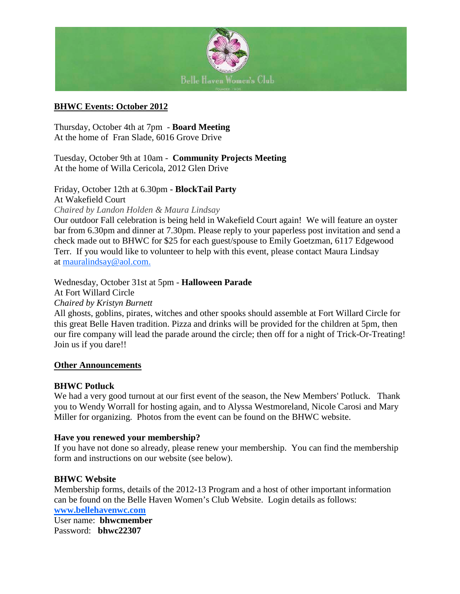

### **BHWC Events: October 2012**

Thursday, October 4th at 7pm - **Board Meeting** At the home of Fran Slade, 6016 Grove Drive

Tuesday, October 9th at 10am - **Community Projects Meeting** At the home of Willa Cericola, 2012 Glen Drive

Friday, October 12th at 6.30pm **- BlockTail Party** At Wakefield Court

*Chaired by Landon Holden & Maura Lindsay*

Our outdoor Fall celebration is being held in Wakefield Court again! We will feature an oyster bar from 6.30pm and dinner at 7.30pm. Please reply to your paperless post invitation and send a check made out to BHWC for \$25 for each guest/spouse to Emily Goetzman, 6117 Edgewood Terr. If you would like to volunteer to help with this event, please contact Maura Lindsay at [mauralindsay@aol.com.](mailto:marthasusan@verizon.net)

Wednesday, October 31st at 5pm - **Halloween Parade**

At Fort Willard Circle

*Chaired by Kristyn Burnett*

All ghosts, goblins, pirates, witches and other spooks should assemble at Fort Willard Circle for this great Belle Haven tradition. Pizza and drinks will be provided for the children at 5pm, then our fire company will lead the parade around the circle; then off for a night of Trick-Or-Treating! Join us if you dare!!

#### **Other Announcements**

#### **BHWC Potluck**

We had a very good turnout at our first event of the season, the New Members' Potluck. Thank you to Wendy Worrall for hosting again, and to Alyssa Westmoreland, Nicole Carosi and Mary Miller for organizing. Photos from the event can be found on the BHWC website.

#### **Have you renewed your membership?**

If you have not done so already, please renew your membership. You can find the membership form and instructions on our website (see below).

#### **BHWC Website**

Membership forms, details of the 2012-13 Program and a host of other important information can be found on the Belle Haven Women's Club Website. Login details as follows: **[www.bellehavenwc.com](http://www.bellehavenwc.com/)** User name: **bhwcmember** Password: **bhwc22307**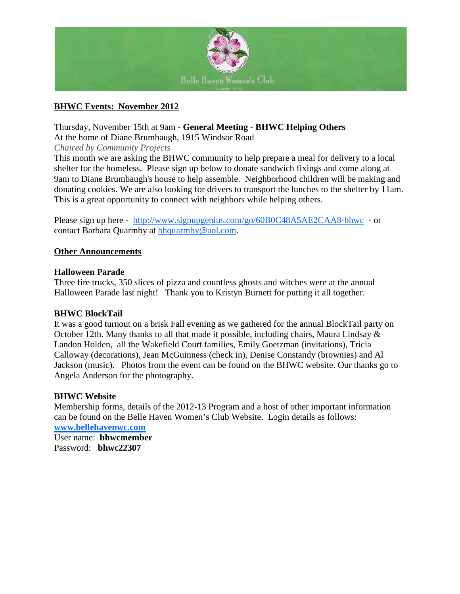

# **BHWC Events: November 2012**

Thursday, November 15th at 9am **- General Meeting - BHWC Helping Others**

At the home of Diane Brumbaugh, 1915 Windsor Road

*Chaired by Community Projects*

This month we are asking the BHWC community to help prepare a meal for delivery to a local shelter for the homeless. Please sign up below to donate sandwich fixings and come along at 9am to Diane Brumbaugh's house to help assemble. Neighborhood children will be making and donating cookies. We are also looking for drivers to transport the lunches to the shelter by 11am. This is a great opportunity to connect with neighbors while helping others.

Please sign up here - <http://www.signupgenius.com/go/60B0C48A5AE2CAA8-bhwc>- or contact Barbara Quarmby at [bhquarmby@aol.com.](mailto:bhquarmby)

#### **Other Announcements**

#### **Halloween Parade**

Three fire trucks, 350 slices of pizza and countless ghosts and witches were at the annual Halloween Parade last night! Thank you to Kristyn Burnett for putting it all together.

#### **BHWC BlockTail**

It was a good turnout on a brisk Fall evening as we gathered for the annual BlockTail party on October 12th. Many thanks to all that made it possible, including chairs, Maura Lindsay & Landon Holden, all the Wakefield Court families, Emily Goetzman (invitations), Tricia Calloway (decorations), Jean McGuinness (check in), Denise Constandy (brownies) and Al Jackson (music). Photos from the event can be found on the BHWC website. Our thanks go to Angela Anderson for the photography.

#### **BHWC Website**

Membership forms, details of the 2012-13 Program and a host of other important information can be found on the Belle Haven Women's Club Website. Login details as follows:

**[www.bellehavenwc.com](http://www.bellehavenwc.com/)** User name: **bhwcmember** Password: **bhwc22307**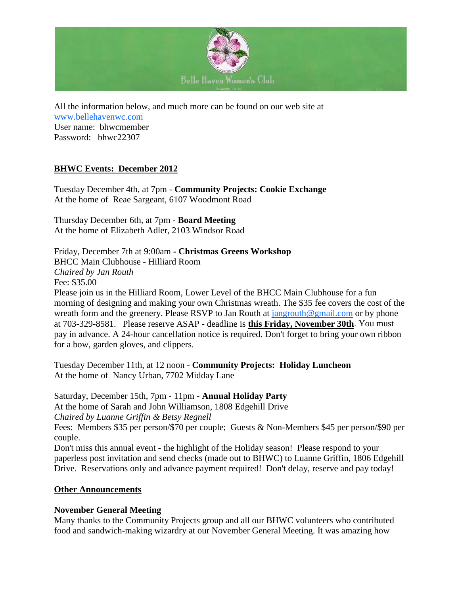

All the information below, and much more can be found on our web site at [www.bellehavenwc.com](http://www.bellehavenwc.com/) User name: bhwcmember Password: bhwc22307

# **BHWC Events: December 2012**

Tuesday December 4th, at 7pm - **Community Projects: Cookie Exchange** At the home of Reae Sargeant, 6107 Woodmont Road

Thursday December 6th, at 7pm - **Board Meeting** At the home of Elizabeth Adler, 2103 Windsor Road

Friday, December 7th at 9:00am **- Christmas Greens Workshop** BHCC Main Clubhouse - Hilliard Room *Chaired by Jan Routh* Fee: \$35.00 Please join us in the Hilliard Room, Lower Level of the BHCC Main Clubhouse for a fun morning of designing and making your own Christmas wreath. The \$35 fee covers the cost of the wreath form and the greenery. Please RSVP to Jan Routh at [jangrouth@gmail.com](mailto:jangrouth@gmail.com) or by phone

at 703-329-8581. Please reserve ASAP - deadline is **this Friday, November 30th**. You must pay in advance. A 24-hour cancellation notice is required. Don't forget to bring your own ribbon for a bow, garden gloves, and clippers.

Tuesday December 11th, at 12 noon - **Community Projects: Holiday Luncheon** At the home of Nancy Urban, 7702 Midday Lane

Saturday, December 15th, 7pm - 11pm **- Annual Holiday Party** At the home of Sarah and John Williamson, 1808 Edgehill Drive *Chaired by Luanne Griffin & Betsy Regnell* Fees: Members \$35 per person/\$70 per couple; Guests & Non-Members \$45 per person/\$90 per couple. Don't miss this annual event - the highlight of the Holiday season! Please respond to your paperless post invitation and send checks (made out to BHWC) to Luanne Griffin, 1806 Edgehill Drive. Reservations only and advance payment required! Don't delay, reserve and pay today!

#### **Other Announcements**

#### **November General Meeting**

Many thanks to the Community Projects group and all our BHWC volunteers who contributed food and sandwich-making wizardry at our November General Meeting. It was amazing how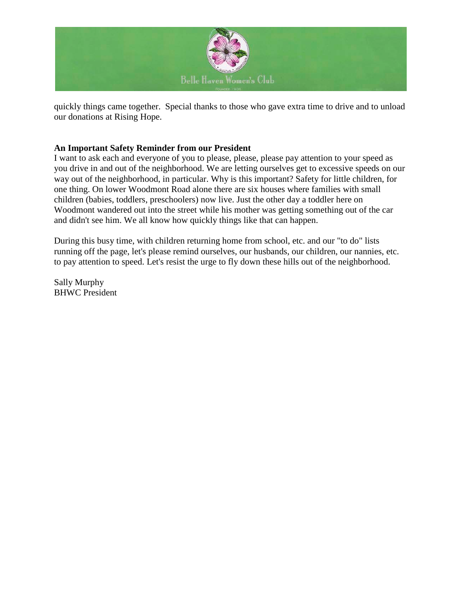

quickly things came together. Special thanks to those who gave extra time to drive and to unload our donations at Rising Hope.

### **An Important Safety Reminder from our President**

I want to ask each and everyone of you to please, please, please pay attention to your speed as you drive in and out of the neighborhood. We are letting ourselves get to excessive speeds on our way out of the neighborhood, in particular. Why is this important? Safety for little children, for one thing. On lower Woodmont Road alone there are six houses where families with small children (babies, toddlers, preschoolers) now live. Just the other day a toddler here on Woodmont wandered out into the street while his mother was getting something out of the car and didn't see him. We all know how quickly things like that can happen.

During this busy time, with children returning home from school, etc. and our "to do" lists running off the page, let's please remind ourselves, our husbands, our children, our nannies, etc. to pay attention to speed. Let's resist the urge to fly down these hills out of the neighborhood.

Sally Murphy BHWC President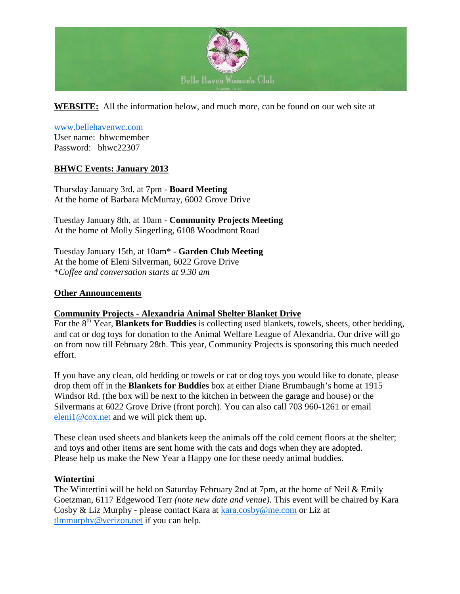

**WEBSITE:** All the information below, and much more, can be found on our web site at

# [www.bellehavenwc.com](http://www.bellehavenwc.com/)

User name: bhwcmember Password: bhwc22307

### **BHWC Events: January 2013**

Thursday January 3rd, at 7pm - **Board Meeting** At the home of Barbara McMurray, 6002 Grove Drive

Tuesday January 8th, at 10am - **Community Projects Meeting** At the home of Molly Singerling, 6108 Woodmont Road

Tuesday January 15th, at 10am\* - **Garden Club Meeting** At the home of Eleni Silverman, 6022 Grove Drive \**Coffee and conversation starts at 9.30 am*

#### **Other Announcements**

#### **Community Projects - Alexandria Animal Shelter Blanket Drive**

For the 8<sup>th</sup> Year, **Blankets for Buddies** is collecting used blankets, towels, sheets, other bedding, and cat or dog toys for donation to the Animal Welfare League of Alexandria. Our drive will go on from now till February 28th. This year, Community Projects is sponsoring this much needed effort.

If you have any clean, old bedding or towels or cat or dog toys you would like to donate, please drop them off in the **Blankets for Buddies** box at either Diane Brumbaugh's home at 1915 Windsor Rd. (the box will be next to the kitchen in between the garage and house) or the Silvermans at 6022 Grove Drive (front porch). You can also call 703 960-1261 or email [eleni1@cox.net](mailto:eleni1@cox.net) and we will pick them up.

These clean used sheets and blankets keep the animals off the cold cement floors at the shelter; and toys and other items are sent home with the cats and dogs when they are adopted. Please help us make the New Year a Happy one for these needy animal buddies.

#### **Wintertini**

The Wintertini will be held on Saturday February 2nd at 7pm, at the home of Neil & Emily Goetzman, 6117 Edgewood Terr *(note new date and venue)*. This event will be chaired by Kara Cosby & Liz Murphy - please contact Kara at **kara.cosby@me.com** or Liz at [tlmmurphy@verizon.net](mailto:tlmmurphy@verizon.net) if you can help.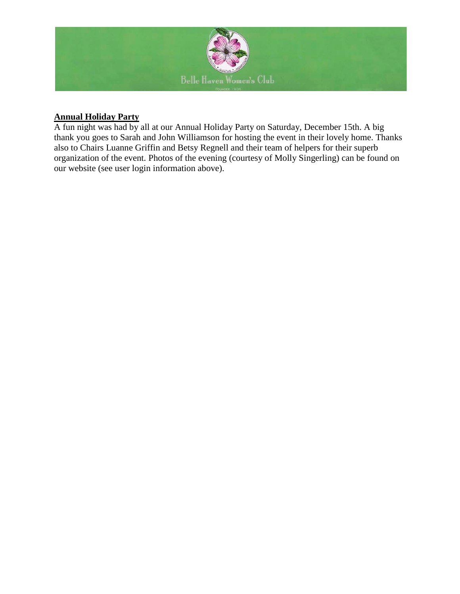

# **Annual Holiday Party**

A fun night was had by all at our Annual Holiday Party on Saturday, December 15th. A big thank you goes to Sarah and John Williamson for hosting the event in their lovely home. Thanks also to Chairs Luanne Griffin and Betsy Regnell and their team of helpers for their superb organization of the event. Photos of the evening (courtesy of Molly Singerling) can be found on our website (see user login information above).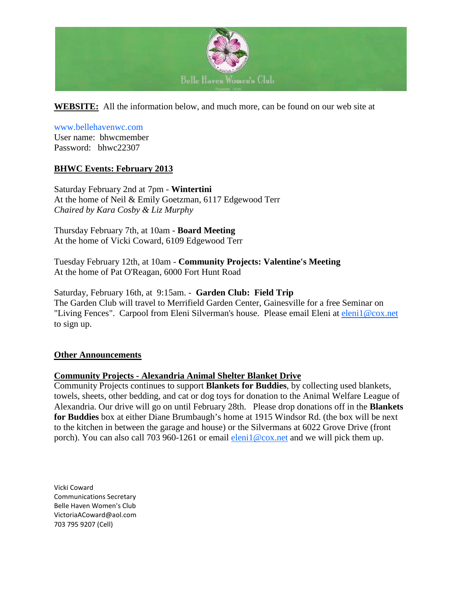

**WEBSITE:** All the information below, and much more, can be found on our web site at

#### [www.bellehavenwc.com](http://www.bellehavenwc.com/)

User name: bhwcmember Password: bhwc22307

### **BHWC Events: February 2013**

Saturday February 2nd at 7pm - **Wintertini**  At the home of Neil & Emily Goetzman, 6117 Edgewood Terr *Chaired by Kara Cosby & Liz Murphy*

Thursday February 7th, at 10am - **Board Meeting** At the home of Vicki Coward, 6109 Edgewood Terr

Tuesday February 12th, at 10am - **Community Projects: Valentine's Meeting** At the home of Pat O'Reagan, 6000 Fort Hunt Road

Saturday, February 16th, at 9:15am. - **Garden Club: Field Trip**  The Garden Club will travel to Merrifield Garden Center, Gainesville for a free Seminar on "Living Fences". Carpool from Eleni Silverman's house. Please email Eleni at [eleni1@cox.net](mailto:eleni1@cox.net) to sign up.

#### **Other Announcements**

#### **Community Projects - Alexandria Animal Shelter Blanket Drive**

Community Projects continues to support **Blankets for Buddies**, by collecting used blankets, towels, sheets, other bedding, and cat or dog toys for donation to the Animal Welfare League of Alexandria. Our drive will go on until February 28th. Please drop donations off in the **Blankets for Buddies** box at either Diane Brumbaugh's home at 1915 Windsor Rd. (the box will be next to the kitchen in between the garage and house) or the Silvermans at 6022 Grove Drive (front porch). You can also call 703 960-1261 or email [eleni1@cox.net](mailto:eleni1@cox.net) and we will pick them up.

Vicki Coward Communications Secretary Belle Haven Women's Club VictoriaACoward@aol.com 703 795 9207 (Cell)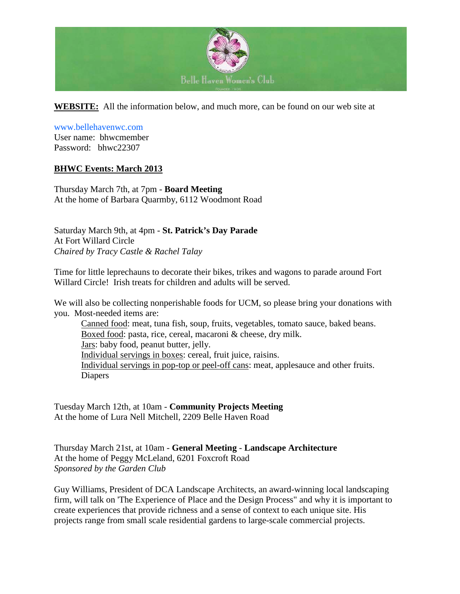

**WEBSITE:** All the information below, and much more, can be found on our web site at

[www.bellehavenwc.com](http://www.bellehavenwc.com/) User name: bhwcmember

Password: bhwc22307

# **BHWC Events: March 2013**

Thursday March 7th, at 7pm - **Board Meeting** At the home of Barbara Quarmby, 6112 Woodmont Road

Saturday March 9th, at 4pm - **St. Patrick's Day Parade** At Fort Willard Circle *Chaired by Tracy Castle & Rachel Talay*

Time for little leprechauns to decorate their bikes, trikes and wagons to parade around Fort Willard Circle! Irish treats for children and adults will be served.

We will also be collecting nonperishable foods for UCM, so please bring your donations with you. Most-needed items are:

Canned food: meat, tuna fish, soup, fruits, vegetables, tomato sauce, baked beans. Boxed food: pasta, rice, cereal, macaroni & cheese, dry milk. Jars: baby food, peanut butter, jelly. Individual servings in boxes: cereal, fruit juice, raisins. Individual servings in pop-top or peel-off cans: meat, applesauce and other fruits. Diapers

Tuesday March 12th, at 10am - **Community Projects Meeting** At the home of Lura Nell Mitchell, 2209 Belle Haven Road

Thursday March 21st, at 10am - **General Meeting** - **Landscape Architecture** At the home of Peggy McLeland, 6201 Foxcroft Road *Sponsored by the Garden Club*

Guy Williams, President of DCA Landscape Architects, an award-winning local landscaping firm, will talk on 'The Experience of Place and the Design Process" and why it is important to create experiences that provide richness and a sense of context to each unique site. His projects range from small scale residential gardens to large-scale commercial projects.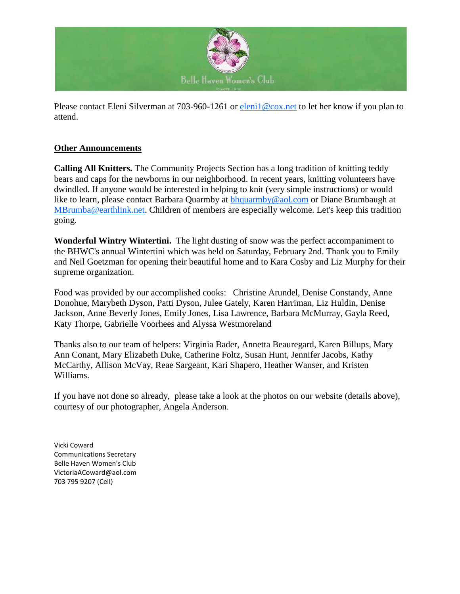

Please contact Eleni Silverman at 703-960-1261 or [eleni1@cox.net](mailto:eleni1@cox.net) to let her know if you plan to attend.

# **Other Announcements**

**Calling All Knitters.** The Community Projects Section has a long tradition of knitting teddy bears and caps for the newborns in our neighborhood. In recent years, knitting volunteers have dwindled. If anyone would be interested in helping to knit (very simple instructions) or would like to learn, please contact Barbara Quarmby at [bhquarmby@aol.com](mailto:bhquarmby@aol.com) or Diane Brumbaugh at [MBrumba@earthlink.net.](mailto:MBrumba@earthlink.net) Children of members are especially welcome. Let's keep this tradition going.

**Wonderful Wintry Wintertini.** The light dusting of snow was the perfect accompaniment to the BHWC's annual Wintertini which was held on Saturday, February 2nd. Thank you to Emily and Neil Goetzman for opening their beautiful home and to Kara Cosby and Liz Murphy for their supreme organization.

Food was provided by our accomplished cooks: Christine Arundel, Denise Constandy, Anne Donohue, Marybeth Dyson, Patti Dyson, Julee Gately, Karen Harriman, Liz Huldin, Denise Jackson, Anne Beverly Jones, Emily Jones, Lisa Lawrence, Barbara McMurray, Gayla Reed, Katy Thorpe, Gabrielle Voorhees and Alyssa Westmoreland

Thanks also to our team of helpers: Virginia Bader, Annetta Beauregard, Karen Billups, Mary Ann Conant, Mary Elizabeth Duke, Catherine Foltz, Susan Hunt, Jennifer Jacobs, Kathy McCarthy, Allison McVay, Reae Sargeant, Kari Shapero, Heather Wanser, and Kristen Williams.

If you have not done so already, please take a look at the photos on our website (details above), courtesy of our photographer, Angela Anderson.

Vicki Coward Communications Secretary Belle Haven Women's Club VictoriaACoward@aol.com 703 795 9207 (Cell)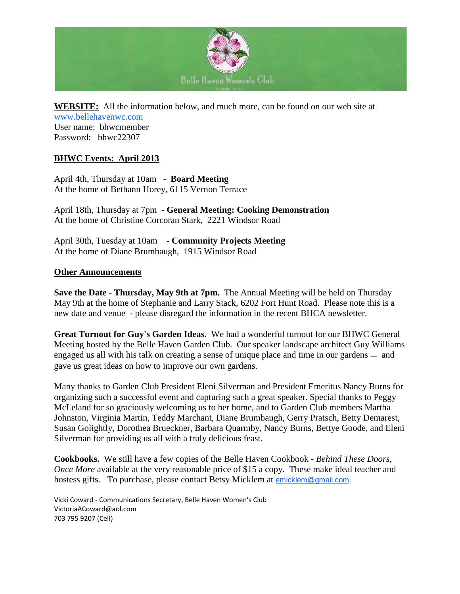

**WEBSITE:** All the information below, and much more, can be found on our web site at [www.bellehavenwc.com](http://www.bellehavenwc.com/) User name: bhwcmember Password: bhwc22307

### **BHWC Events: April 2013**

April 4th, Thursday at 10am - **Board Meeting** At the home of Bethann Horey, 6115 Vernon Terrace

April 18th, Thursday at 7pm - **General Meeting: Cooking Demonstration** At the home of Christine Corcoran Stark, 2221 Windsor Road

April 30th, Tuesday at 10am - **Community Projects Meeting** At the home of Diane Brumbaugh, 1915 Windsor Road

#### **Other Announcements**

**Save the Date - Thursday, May 9th at 7pm.** The Annual Meeting will be held on Thursday May 9th at the home of Stephanie and Larry Stack, 6202 Fort Hunt Road. Please note this is a new date and venue - please disregard the information in the recent BHCA newsletter.

**Great Turnout for Guy's Garden Ideas.** We had a wonderful turnout for our BHWC General Meeting hosted by the Belle Haven Garden Club. Our speaker landscape architect Guy Williams engaged us all with his talk on creating a sense of unique place and time in our gardens — and gave us great ideas on how to improve our own gardens.

Many thanks to Garden Club President Eleni Silverman and President Emeritus Nancy Burns for organizing such a successful event and capturing such a great speaker. Special thanks to Peggy McLeland for so graciously welcoming us to her home, and to Garden Club members Martha Johnston, Virginia Martin, Teddy Marchant, Diane Brumbaugh, Gerry Pratsch, Betty Demarest, Susan Golightly, Dorothea Brueckner, Barbara Quarmby, Nancy Burns, Bettye Goode, and Eleni Silverman for providing us all with a truly delicious feast.

**Cookbooks.** We still have a few copies of the Belle Haven Cookbook - *Behind These Doors, Once More* available at the very reasonable price of \$15 a copy. These make ideal teacher and hostess gifts. To purchase, please contact Betsy Micklem at [emicklem@gmail.com.](mailto:emicklem@gmail.com)

Vicki Coward - Communications Secretary, Belle Haven Women's Club VictoriaACoward@aol.com 703 795 9207 (Cell)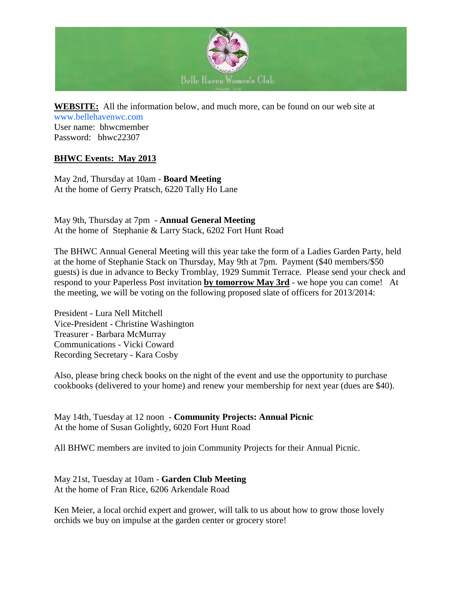

**WEBSITE:** All the information below, and much more, can be found on our web site at [www.bellehavenwc.com](http://www.bellehavenwc.com/) User name: bhwcmember Password: bhwc22307

# **BHWC Events: May 2013**

May 2nd, Thursday at 10am - **Board Meeting** At the home of Gerry Pratsch, 6220 Tally Ho Lane

May 9th, Thursday at 7pm - **Annual General Meeting** At the home of Stephanie & Larry Stack, 6202 Fort Hunt Road

The BHWC Annual General Meeting will this year take the form of a Ladies Garden Party, held at the home of Stephanie Stack on Thursday, May 9th at 7pm. Payment (\$40 members/\$50 guests) is due in advance to Becky Tromblay, 1929 Summit Terrace. Please send your check and respond to your Paperless Post invitation **by tomorrow May 3rd** - we hope you can come! At the meeting, we will be voting on the following proposed slate of officers for 2013/2014:

President - Lura Nell Mitchell Vice-President - Christine Washington Treasurer - Barbara McMurray Communications - Vicki Coward Recording Secretary - Kara Cosby

Also, please bring check books on the night of the event and use the opportunity to purchase cookbooks (delivered to your home) and renew your membership for next year (dues are \$40).

May 14th, Tuesday at 12 noon - **Community Projects: Annual Picnic** At the home of Susan Golightly, 6020 Fort Hunt Road

All BHWC members are invited to join Community Projects for their Annual Picnic.

May 21st, Tuesday at 10am - **Garden Club Meeting** At the home of Fran Rice, 6206 Arkendale Road

Ken Meier, a local orchid expert and grower, will talk to us about how to grow those lovely orchids we buy on impulse at the garden center or grocery store!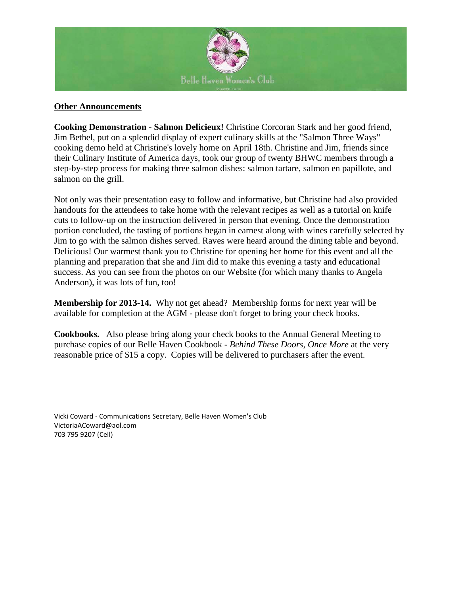

#### **Other Announcements**

**Cooking Demonstration - Salmon Delicieux!** Christine Corcoran Stark and her good friend, Jim Bethel, put on a splendid display of expert culinary skills at the "Salmon Three Ways" cooking demo held at Christine's lovely home on April 18th. Christine and Jim, friends since their Culinary Institute of America days, took our group of twenty BHWC members through a step-by-step process for making three salmon dishes: salmon tartare, salmon en papillote, and salmon on the grill.

Not only was their presentation easy to follow and informative, but Christine had also provided handouts for the attendees to take home with the relevant recipes as well as a tutorial on knife cuts to follow-up on the instruction delivered in person that evening. Once the demonstration portion concluded, the tasting of portions began in earnest along with wines carefully selected by Jim to go with the salmon dishes served. Raves were heard around the dining table and beyond. Delicious! Our warmest thank you to Christine for opening her home for this event and all the planning and preparation that she and Jim did to make this evening a tasty and educational success. As you can see from the photos on our Website (for which many thanks to Angela Anderson), it was lots of fun, too!

**Membership for 2013-14.** Why not get ahead? Membership forms for next year will be available for completion at the AGM - please don't forget to bring your check books.

**Cookbooks.** Also please bring along your check books to the Annual General Meeting to purchase copies of our Belle Haven Cookbook - *Behind These Doors, Once More* at the very reasonable price of \$15 a copy. Copies will be delivered to purchasers after the event.

Vicki Coward - Communications Secretary, Belle Haven Women's Club VictoriaACoward@aol.com 703 795 9207 (Cell)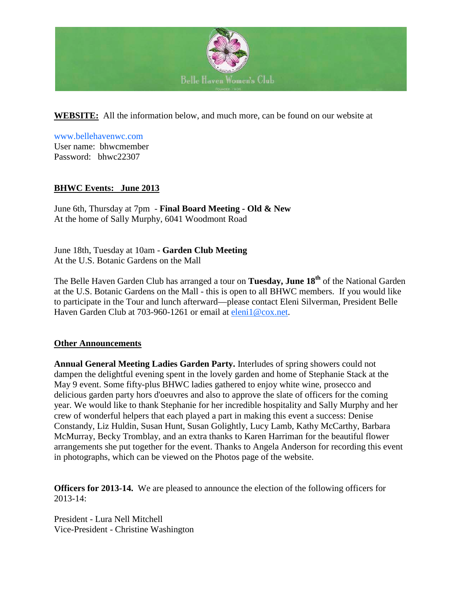

**WEBSITE:** All the information below, and much more, can be found on our website at

[www.bellehavenwc.com](http://www.bellehavenwc.com/) User name: bhwcmember Password: bhwc22307

# **BHWC Events: June 2013**

June 6th, Thursday at 7pm - **Final Board Meeting - Old & New** At the home of Sally Murphy, 6041 Woodmont Road

June 18th, Tuesday at 10am - **Garden Club Meeting** At the U.S. Botanic Gardens on the Mall

The Belle Haven Garden Club has arranged a tour on **Tuesday, June 18th** of the National Garden at the U.S. Botanic Gardens on the Mall - this is open to all BHWC members. If you would like to participate in the Tour and lunch afterward—please contact Eleni Silverman, President Belle Haven Garden Club at 703-960-1261 or email at [eleni1@cox.net.](mailto:mailto:eleni1@cox.net)

#### **Other Announcements**

**Annual General Meeting Ladies Garden Party.** Interludes of spring showers could not dampen the delightful evening spent in the lovely garden and home of Stephanie Stack at the May 9 event. Some fifty-plus BHWC ladies gathered to enjoy white wine, prosecco and delicious garden party hors d'oeuvres and also to approve the slate of officers for the coming year. We would like to thank Stephanie for her incredible hospitality and Sally Murphy and her crew of wonderful helpers that each played a part in making this event a success: Denise Constandy, Liz Huldin, Susan Hunt, Susan Golightly, Lucy Lamb, Kathy McCarthy, Barbara McMurray, Becky Tromblay, and an extra thanks to Karen Harriman for the beautiful flower arrangements she put together for the event. Thanks to Angela Anderson for recording this event in photographs, which can be viewed on the Photos page of the website.

**Officers for 2013-14.** We are pleased to announce the election of the following officers for 2013-14:

President - Lura Nell Mitchell Vice-President - Christine Washington